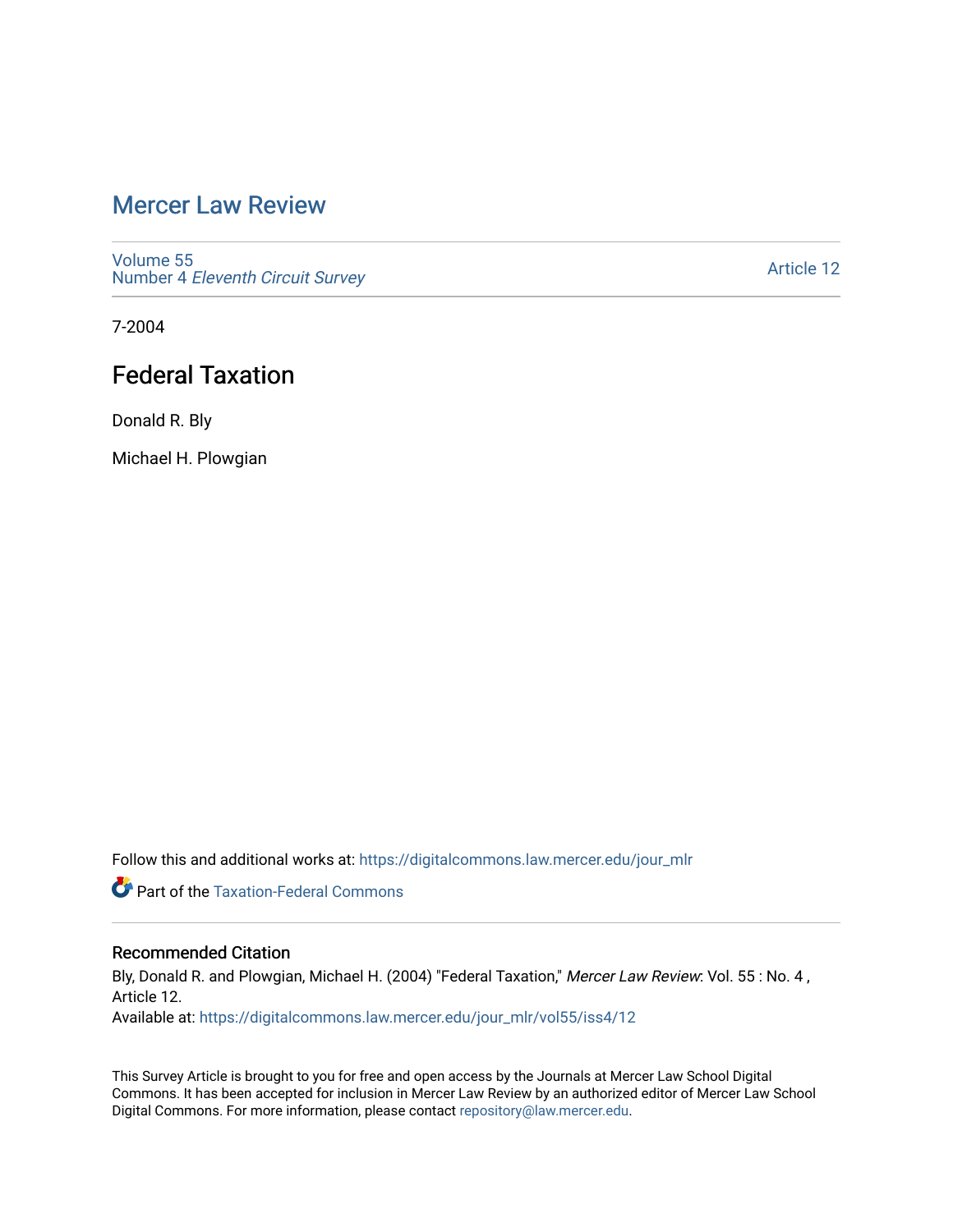# [Mercer Law Review](https://digitalcommons.law.mercer.edu/jour_mlr)

[Volume 55](https://digitalcommons.law.mercer.edu/jour_mlr/vol55) Number 4 [Eleventh Circuit Survey](https://digitalcommons.law.mercer.edu/jour_mlr/vol55/iss4) 

[Article 12](https://digitalcommons.law.mercer.edu/jour_mlr/vol55/iss4/12) 

7-2004

# Federal Taxation

Donald R. Bly

Michael H. Plowgian

Follow this and additional works at: [https://digitalcommons.law.mercer.edu/jour\\_mlr](https://digitalcommons.law.mercer.edu/jour_mlr?utm_source=digitalcommons.law.mercer.edu%2Fjour_mlr%2Fvol55%2Fiss4%2F12&utm_medium=PDF&utm_campaign=PDFCoverPages)

**Part of the [Taxation-Federal Commons](http://network.bepress.com/hgg/discipline/881?utm_source=digitalcommons.law.mercer.edu%2Fjour_mlr%2Fvol55%2Fiss4%2F12&utm_medium=PDF&utm_campaign=PDFCoverPages)** 

### Recommended Citation

Bly, Donald R. and Plowgian, Michael H. (2004) "Federal Taxation," Mercer Law Review: Vol. 55: No. 4, Article 12.

Available at: [https://digitalcommons.law.mercer.edu/jour\\_mlr/vol55/iss4/12](https://digitalcommons.law.mercer.edu/jour_mlr/vol55/iss4/12?utm_source=digitalcommons.law.mercer.edu%2Fjour_mlr%2Fvol55%2Fiss4%2F12&utm_medium=PDF&utm_campaign=PDFCoverPages) 

This Survey Article is brought to you for free and open access by the Journals at Mercer Law School Digital Commons. It has been accepted for inclusion in Mercer Law Review by an authorized editor of Mercer Law School Digital Commons. For more information, please contact [repository@law.mercer.edu](mailto:repository@law.mercer.edu).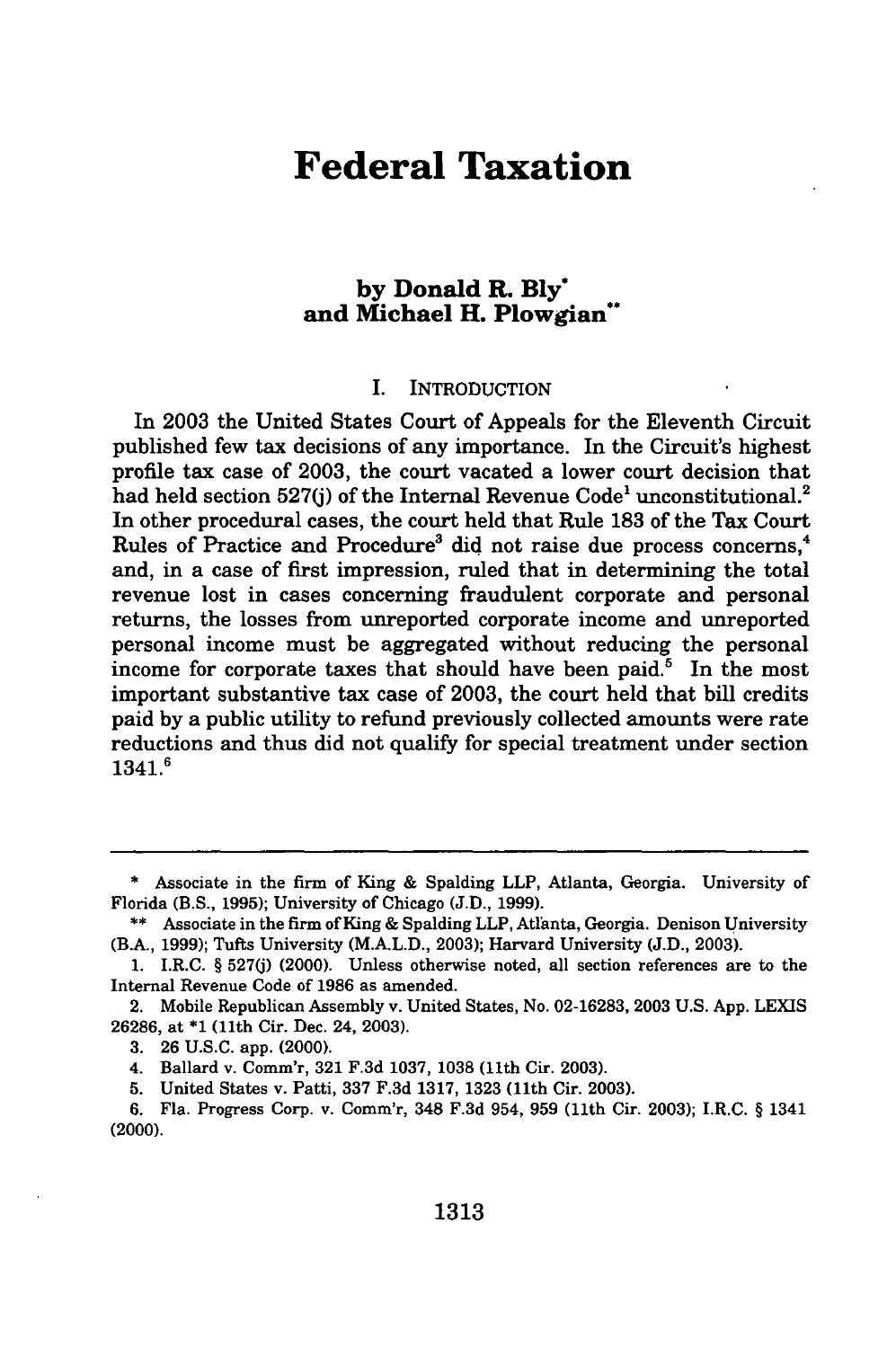## **Federal Taxation**

### **by Donald R. Bly\* and Michael H. Plowgian\*\***

#### I. INTRODUCTION

In **2003** the United States Court of Appeals for the Eleventh Circuit published few tax decisions of any importance. In the Circuit's highest profile tax case of **2003,** the court vacated a lower court decision that had held section 527(j) of the Internal Revenue Code<sup>1</sup> unconstitutional.<sup>2</sup> In other procedural cases, the court held that Rule **183** of the Tax Court Rules of Practice and Procedure<sup>3</sup> did not raise due process concerns,<sup>4</sup> and, in a case of first impression, ruled that in determining the total revenue lost in cases concerning fraudulent corporate and personal returns, the losses from unreported corporate income and unreported personal income must be aggregated without reducing the personal income for corporate taxes that should have been paid.<sup>5</sup> In the most important substantive tax case of **2003,** the court held that bill credits paid **by** a public utility to refund previously collected amounts were rate reductions and thus did not qualify for special treatment under section 1341.6

<sup>\*</sup> Associate in the firm of King **&** Spalding LLP, Atlanta, Georgia. University of Florida (B.S., **1995);** University of Chicago **(J.D., 1999).**

<sup>\*\*</sup> Associate in the firm of King **&** Spalding LLP, Atlanta, Georgia. Denison University (B.A., **1999);** Tufts University (M.A.L.D., **2003);** Harvard University **(J.D., 2003).**

**<sup>1.</sup>** I.R.C. § **527(j)** (2000). Unless otherwise noted, all section references are to the Internal Revenue Code of **1986** as amended.

<sup>2.</sup> Mobile Republican Assembly v. United States, No. **02-16283, 2003 U.S. App.** LEXIS **26286,** at **\*1** (11th Cir. Dec. 24, **2003).**

**<sup>3. 26</sup> U.S.C.** app. (2000).

<sup>4.</sup> Ballard v. Comm'r, **321 F.3d 1037, 1038** (11th Cir. **2003).**

**<sup>5.</sup>** United States v. Patti, **337 F.3d 1317, 1323** (11th Cir. **2003).**

**<sup>6.</sup>** Fla. Progress Corp. v. Comm'r, 348 **F.3d** 954, **959** (11th Cir. **2003);** I.R.C. **§** 1341 (2000).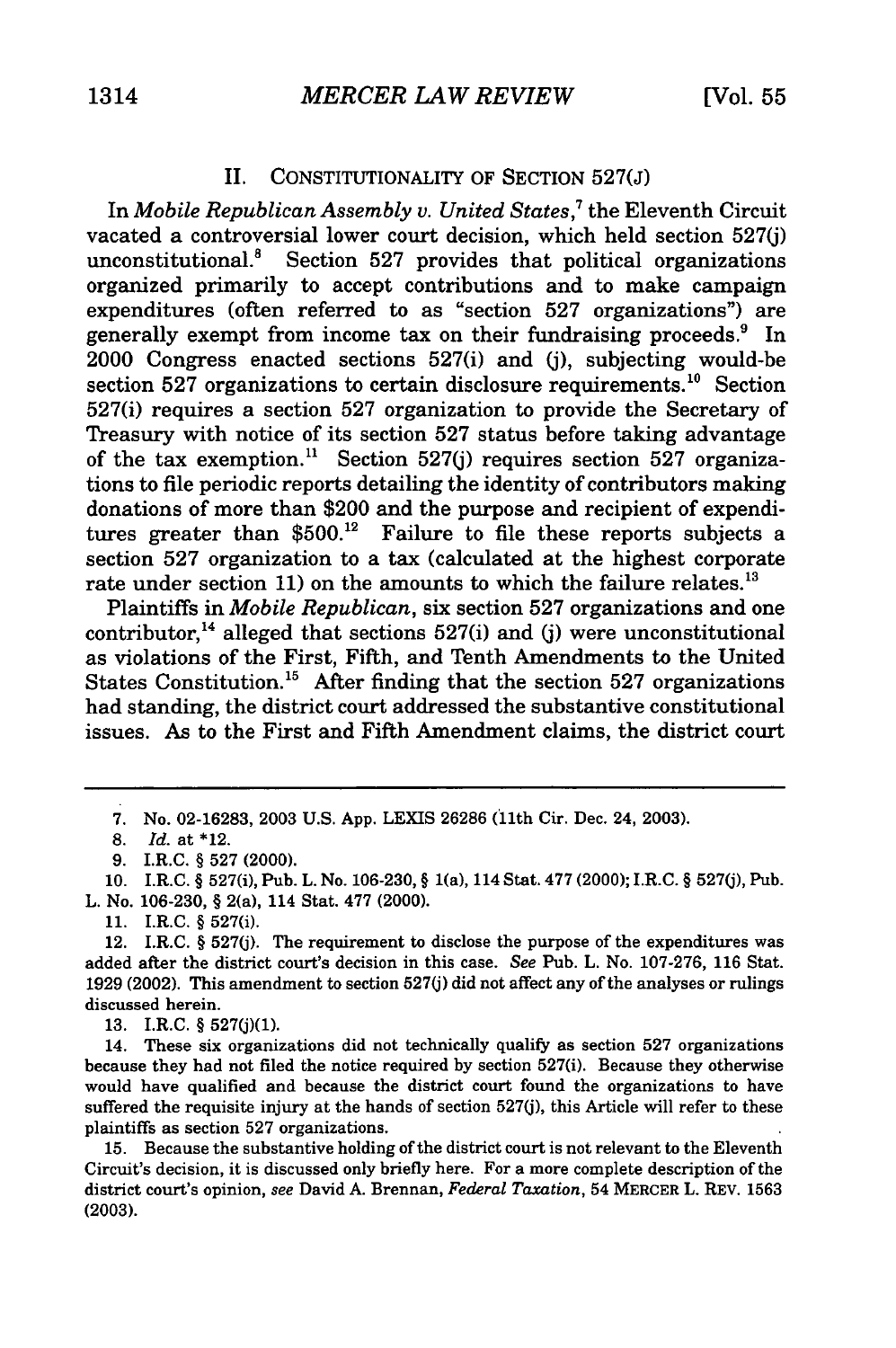#### II. CONSTITUTIONALITY OF SECTION 527(J)

In *Mobile Republican Assembly v. United States,'* the Eleventh Circuit vacated a controversial lower court decision, which held section 527(j) unconstitutional.<sup>8</sup> Section 527 provides that political organizations organized primarily to accept contributions and to make campaign expenditures (often referred to as "section 527 organizations") are generally exempt from income tax on their fundraising proceeds.<sup>9</sup> In 2000 Congress enacted sections 527(i) and (j), subjecting would-be section 527 organizations to certain disclosure requirements.<sup>10</sup> Section 527(i) requires a section 527 organization to provide the Secretary of Treasury with notice of its section 527 status before taking advantage of the tax exemption.<sup>11</sup> Section 527(j) requires section 527 organizations to file periodic reports detailing the identity of contributors making donations of more than \$200 and the purpose and recipient of expenditures greater than  $$500.<sup>12</sup>$  Failure to file these reports subjects a section 527 organization to a tax (calculated at the highest corporate rate under section 11) on the amounts to which the failure relates.<sup>13</sup>

Plaintiffs in *Mobile Republican,* six section 527 organizations and one contributor,<sup>14</sup> alleged that sections  $527(i)$  and (j) were unconstitutional as violations of the First, Fifth, and Tenth Amendments to the United States Constitution.<sup>15</sup> After finding that the section 527 organizations had standing, the district court addressed the substantive constitutional issues. As to the First and Fifth Amendment claims, the district court

7. No. 02-16283, 2003 U.S. App. LEXIS 26286 (11th Cir. Dec. 24, 2003).

10. I.R.C. § 527(i), Pub. L. No. 106-230, § 1(a), 114 Stat. 477 (2000); I.R.C. § 527(j), Pub.

L. No. 106-230, § 2(a), 114 Stat. **477** (2000).

**13.** I.R.C. § 527(j)(1).

14. These six organizations did not technically qualify as section 527 organizations because they had not filed the notice required by section 527(i). Because they otherwise would have qualified and because the district court found the organizations to have suffered the requisite injury at the hands of section 527(j), this Article will refer to these plaintiffs as section 527 organizations.

15. Because the substantive holding of the district court is not relevant to the Eleventh Circuit's decision, it is discussed only briefly here. For a more complete description of the district court's opinion, see David A. Brennan, *Federal Taxation,* 54 MERCER L. REV. 1563 (2003).

<sup>8.</sup> *Id.* at \*12.

<sup>9.</sup> I.R.C. § 527 (2000).

<sup>11.</sup> I.R.C. § 527(i).

<sup>12.</sup> I.R.C. § 527(j). The requirement to disclose the purpose of the expenditures was added after the district court's decision in this case. *See* Pub. L. No. 107-276, 116 Stat. 1929 (2002). This amendment to section 527(j) did not affect any of the analyses or rulings discussed herein.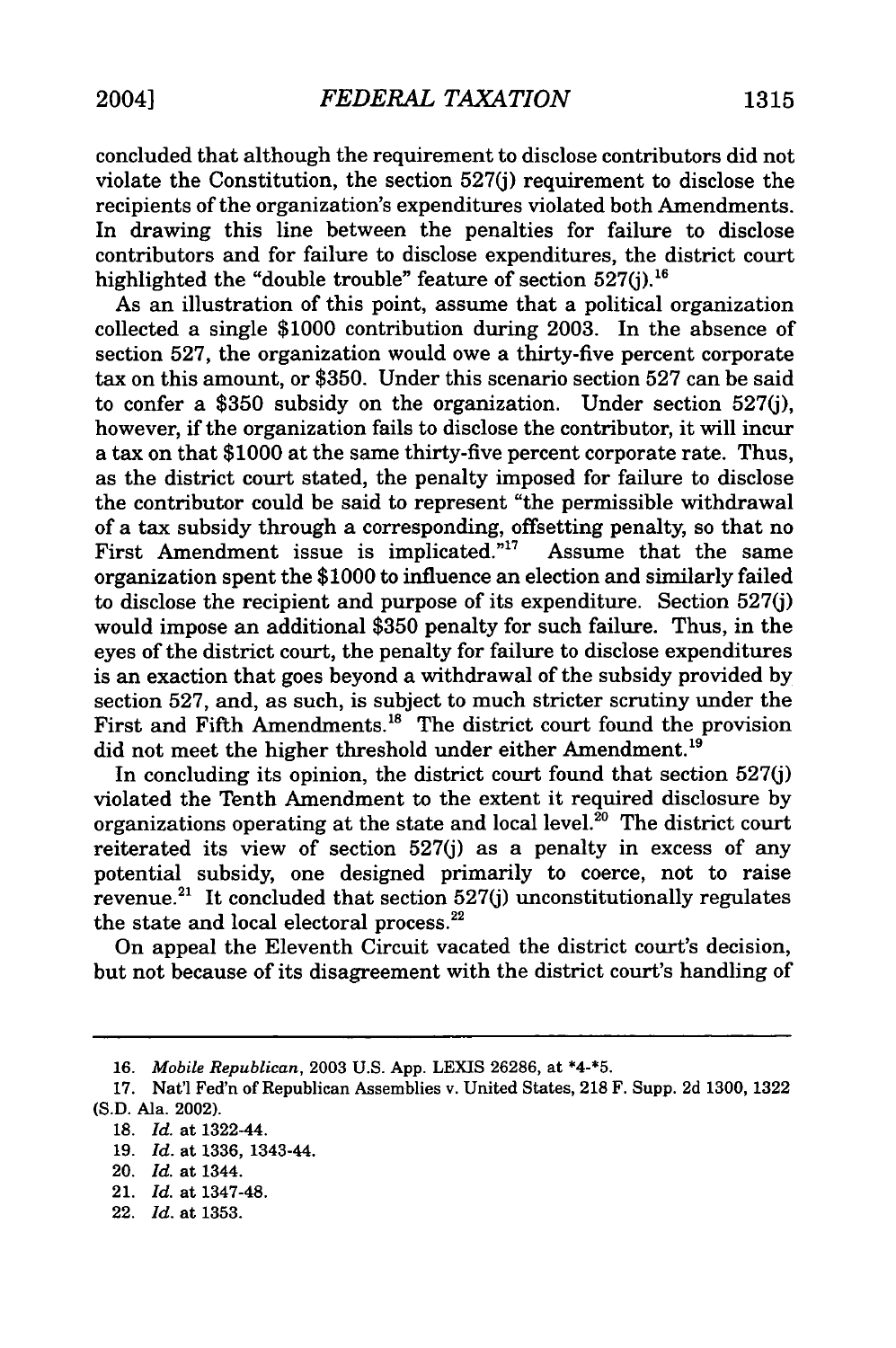concluded that although the requirement to disclose contributors did not violate the Constitution, the section 527(j) requirement to disclose the recipients of the organization's expenditures violated both Amendments. In drawing this line between the penalties for failure to disclose contributors and for failure to disclose expenditures, the district court highlighted the "double trouble" feature of section 527(j).<sup>16</sup>

As an illustration of this point, assume that a political organization collected a single \$1000 contribution during 2003. In the absence of section 527, the organization would owe a thirty-five percent corporate tax on this amount, or \$350. Under this scenario section 527 can be said to confer a \$350 subsidy on the organization. Under section 527(j), however, if the organization fails to disclose the contributor, it will incur a tax on that \$1000 at the same thirty-five percent corporate rate. Thus, as the district court stated, the penalty imposed for failure to disclose the contributor could be said to represent "the permissible withdrawal of a tax subsidy through a corresponding, offsetting penalty, so that no First Amendment issue is implicated."<sup>17</sup> Assume that the same organization spent the \$1000 to influence an election and similarly failed to disclose the recipient and purpose of its expenditure. Section 527(j) would impose an additional \$350 penalty for such failure. Thus, in the eyes of the district court, the penalty for failure to disclose expenditures is an exaction that goes beyond a withdrawal of the subsidy provided by section 527, and, as such, is subject to much stricter scrutiny under the First and Fifth Amendments.<sup>18</sup> The district court found the provision did not meet the higher threshold under either Amendment.<sup>19</sup>

In concluding its opinion, the district court found that section 527(j) violated the Tenth Amendment to the extent it required disclosure by organizations operating at the state and local level.<sup>20</sup> The district court reiterated its view of section 527(j) as a penalty in excess of any potential subsidy, one designed primarily to coerce, not to raise  $revenue.<sup>21</sup>$  It concluded that section 527(j) unconstitutionally regulates the state and local electoral process.<sup>22</sup>

On appeal the Eleventh Circuit vacated the district court's decision, but not because of its disagreement with the district court's handling of

**<sup>16.</sup>** *Mobile Republican,* **2003 U.S. App. LEXIS 26286,** at \*4-\*5.

**<sup>17.</sup>** Nat'l Fed'n of Republican Assemblies v. United States, 218 F. Supp. 2d 1300, 1322 (S.D. Ala. 2002).

<sup>18.</sup> *Id.* at 1322-44.

**<sup>19.</sup>** *Id.* at 1336, 1343-44.

<sup>20.</sup> *Id.* at 1344.

<sup>21.</sup> *Id.* at 1347-48.

<sup>22.</sup> *Id.* at 1353.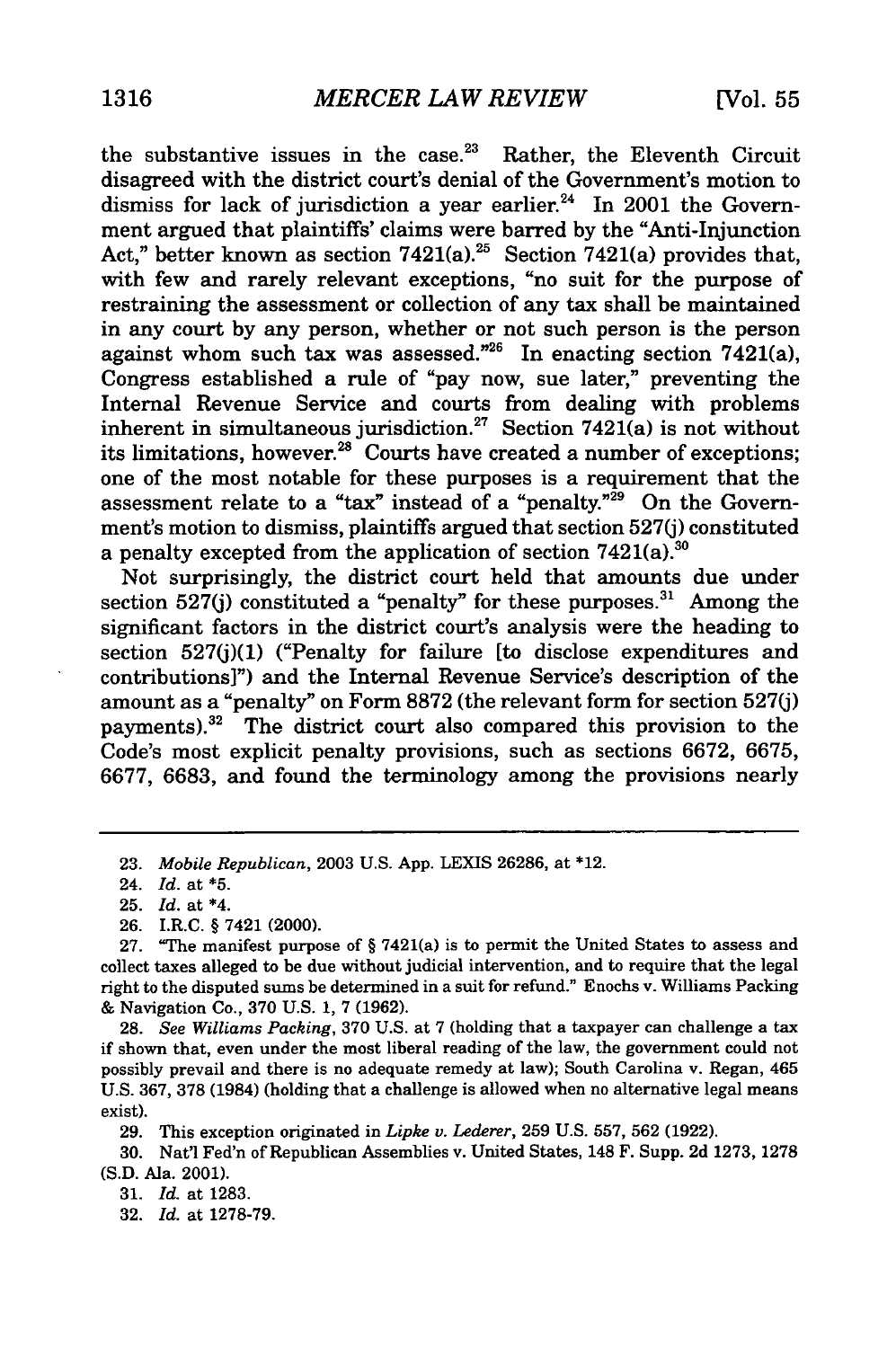the substantive issues in the case. $23$  Rather, the Eleventh Circuit disagreed with the district court's denial of the Government's motion to dismiss for lack of jurisdiction a year earlier.<sup>24</sup> In 2001 the Government argued that plaintiffs' claims were barred by the "Anti-Injunction Act," better known as section  $7421(a)$ .<sup>25</sup> Section  $7421(a)$  provides that, with few and rarely relevant exceptions, "no suit for the purpose of restraining the assessment or collection of any tax shall be maintained in any court by any person, whether or not such person is the person against whom such tax was assessed."<sup>26</sup> In enacting section  $7421(a)$ , Congress established a rule of "pay now, sue later," preventing the Internal Revenue Service and courts from dealing with problems inherent in simultaneous jurisdiction.<sup>27</sup> Section 7421(a) is not without its limitations, however.<sup>28</sup> Courts have created a number of exceptions; one of the most notable for these purposes is a requirement that the assessment relate to a "tax" instead of a "penalty." $^{29}$  On the Government's motion to dismiss, plaintiffs argued that section 527(j) constituted a penalty excepted from the application of section  $7421(a)$ .<sup>30</sup>

Not surprisingly, the district court held that amounts due under section 527(j) constituted a "penalty" for these purposes.<sup>31</sup> Among the significant factors in the district court's analysis were the heading to section 527(j)(1) ("Penalty for failure [to disclose expenditures and contributions]") and the Internal Revenue Service's description of the amount as a "penalty" on Form 8872 (the relevant form for section 527(j) payments).<sup>32</sup> The district court also compared this provision to the Code's most explicit penalty provisions, such as sections 6672, 6675, 6677, 6683, and found the terminology among the provisions nearly

28. *See Williams Packing,* 370 U.S. at 7 (holding that a taxpayer can challenge a tax if shown that, even under the most liberal reading of the law, the government could not possibly prevail and there is no adequate remedy at law); South Carolina v. Regan, 465 U.S. 367, **378** (1984) (holding that a challenge is allowed when no alternative legal means exist).

29. This exception originated in *Lipke v. Lederer,* 259 U.S. 557, 562 (1922).

30. Nat'l Fed'n of Republican Assemblies v. United States, 148 F. Supp. 2d 1273, 1278 (S.D. Ala. 2001).

31. *Id.* at 1283.

32. *Id.* at 1278-79.

<sup>23.</sup> *Mobile Republican,* 2003 U.S. App. LEXIS 26286, at \*12.

<sup>24.</sup> *Id.* at **\*5.**

<sup>25.</sup> *Id.* at \*4.

**<sup>26.</sup>** I.R.C. § 7421 (2000).

**<sup>27.</sup>** "The manifest purpose of § 7421(a) is to permit the United States to assess and collect taxes alleged to be due without judicial intervention, and to require that the legal right to the disputed sums be determined in a suit for refund." Enochs v. Williams Packing & Navigation Co., 370 U.S. 1, 7 (1962).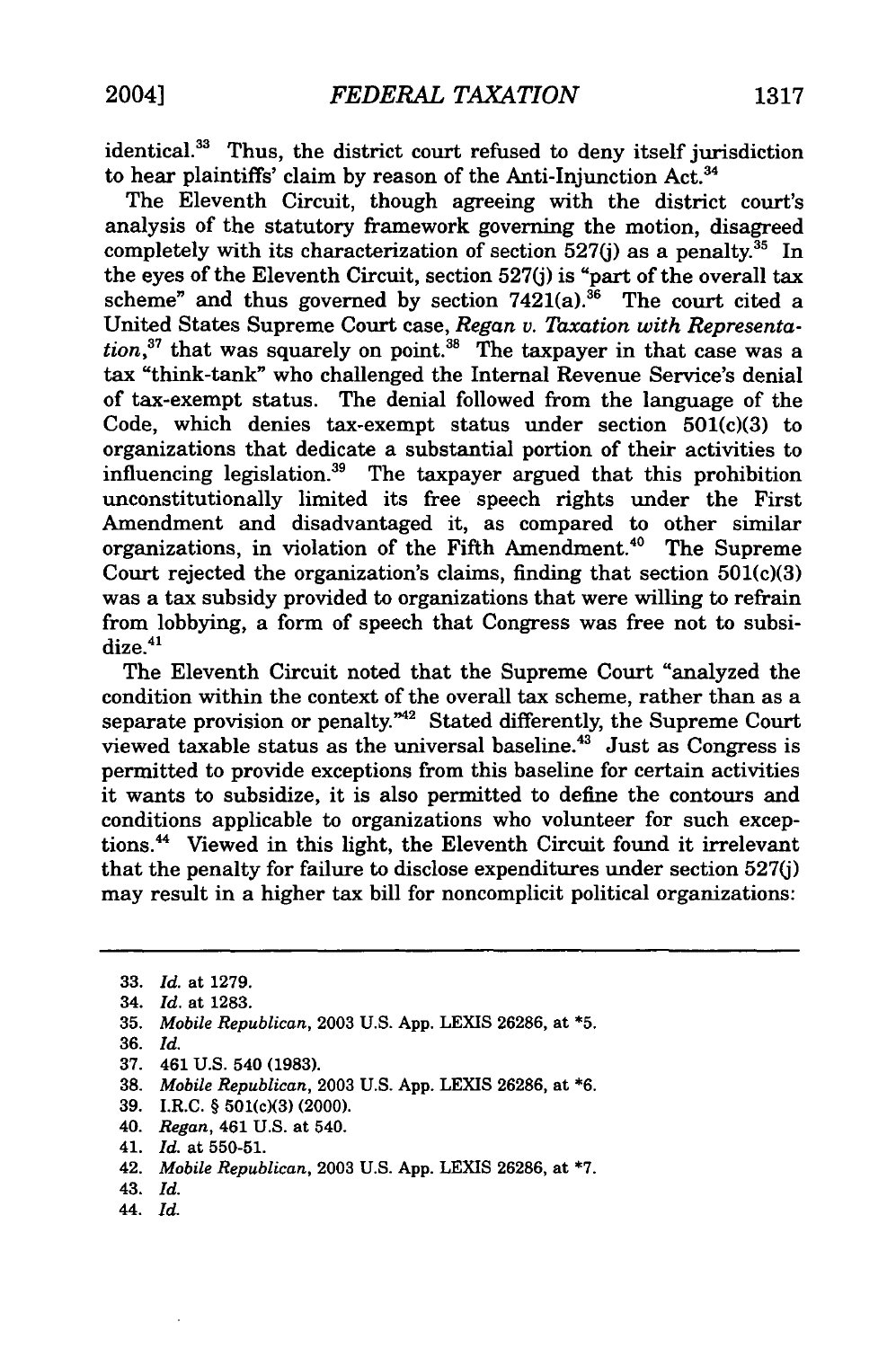identical.<sup>33</sup> Thus, the district court refused to deny itself jurisdiction to hear plaintiffs' claim by reason of the Anti-Injunction Act.<sup>34</sup>

The Eleventh Circuit, though agreeing with the district court's analysis of the statutory framework governing the motion, disagreed completely with its characterization of section  $527(j)$  as a penalty.<sup>35</sup> In the eyes of the Eleventh Circuit, section 527(j) is "part of the overall tax scheme" and thus governed by section  $7421(a).$ <sup>36</sup> The court cited a United States Supreme Court case, *Regan v. Taxation with Representa*tion,<sup>37</sup> that was squarely on point.<sup>38</sup> The taxpayer in that case was a tax "think-tank" who challenged the Internal Revenue Service's denial of tax-exempt status. The denial followed from the language of the Code, which denies tax-exempt status under section  $501(c)(3)$  to organizations that dedicate a substantial portion of their activities to influencing legislation. 39 The taxpayer argued that this prohibition unconstitutionally limited its free speech rights under the First Amendment and disadvantaged it, as compared to other similar organizations, in violation of the Fifth Amendment.<sup>40</sup> The Supreme Court rejected the organization's claims, finding that section 501(c)(3) was a tax subsidy provided to organizations that were willing to refrain from lobbying, a form of speech that Congress was free not to subsidize.<sup>41</sup>

The Eleventh Circuit noted that the Supreme Court "analyzed the condition within the context of the overall tax scheme, rather than as a separate provision or penalty."<sup>42</sup> Stated differently, the Supreme Court viewed taxable status as the universal baseline.43 Just as Congress is permitted to provide exceptions from this baseline for certain activities it wants to subsidize, it is also permitted to define the contours and conditions applicable to organizations who volunteer for such exceptions.<sup>44</sup> Viewed in this light, the Eleventh Circuit found it irrelevant that the penalty for failure to disclose expenditures under section 527(j) may result in a higher tax bill for noncomplicit political organizations:

**35.** *Mobile Republican,* 2003 U.S. App. LEXIS 26286, at **\*5.**

- 37. 461 U.S. 540 (1983).
- **38.** *Mobile Republican,* 2003 U.S. App. LEXIS 26286, at \*6.
- **39.** I.R.C. § **501(c)(3) (2000).**
- **40.** *Regan,* **461 U.S. at 540.**
- **41.** *Id.* at **550-51.**
- **42.** *Mobile Republican,* **2003 U.S. App.** LEXIS **26286, at \*7.**
- **43.** *Id.*
- 44. *Id.*

**<sup>33.</sup>** *Id.* at **1279.**

<sup>34.</sup> *Id.* at **1283.**

**<sup>36.</sup>** *Id.*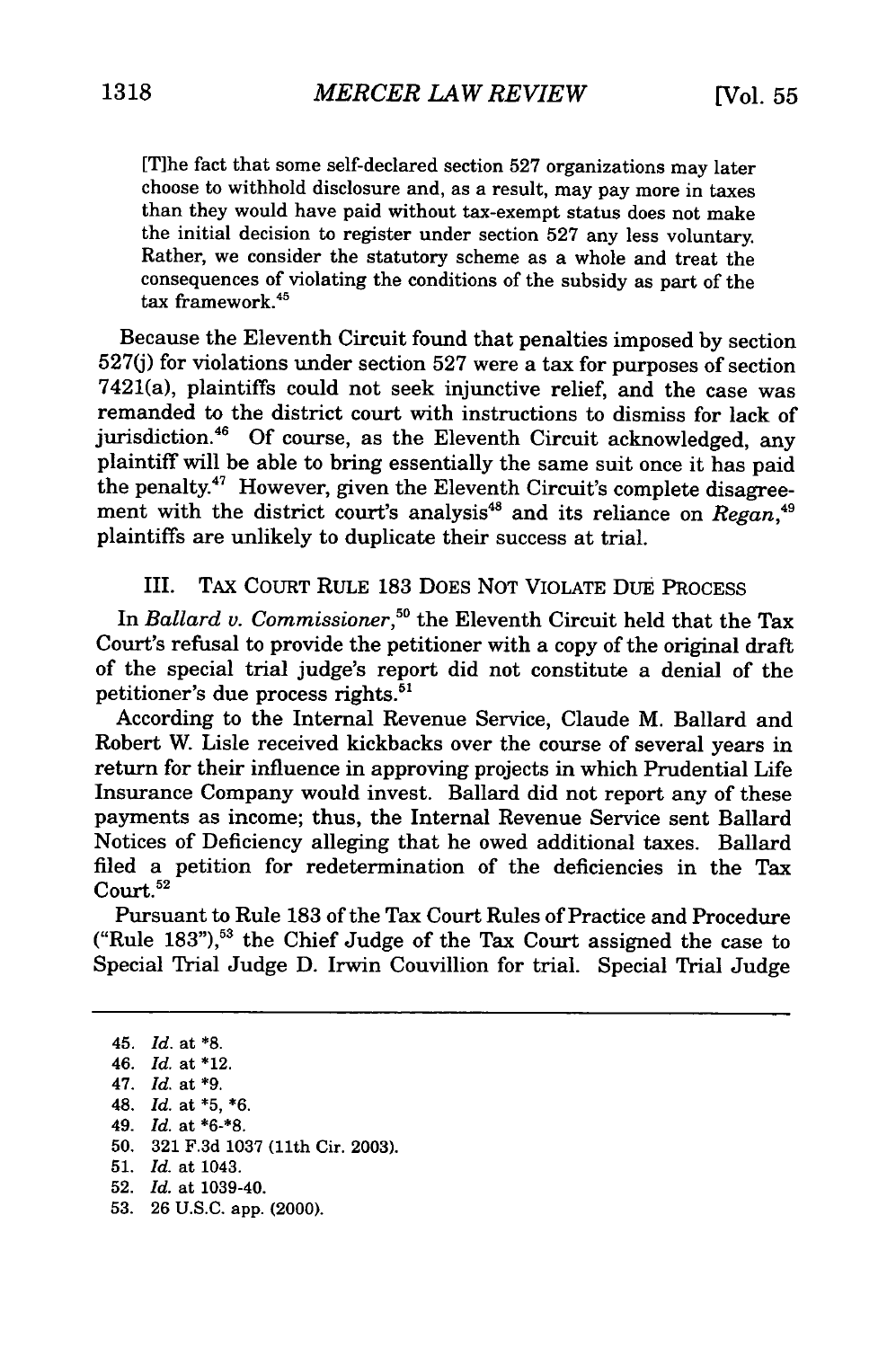[Tihe fact that some self-declared section 527 organizations may later choose to withhold disclosure and, as a result, may pay more in taxes than they would have paid without tax-exempt status does not make the initial decision to register under section 527 any less voluntary. Rather, we consider the statutory scheme as a whole and treat the consequences of violating the conditions of the subsidy as part of the tax framework.45

Because the Eleventh Circuit found that penalties imposed by section 527(j) for violations under section 527 were a tax for purposes of section 7421(a), plaintiffs could not seek injunctive relief, and the case was remanded to the district court with instructions to dismiss for lack of jurisdiction.<sup>46</sup> Of course, as the Eleventh Circuit acknowledged, any plaintiff will be able to bring essentially the same suit once it has paid the penalty.<sup>47</sup> However, given the Eleventh Circuit's complete disagreement with the district court's analysis<sup>48</sup> and its reliance on *Regan*,<sup>49</sup> plaintiffs are unlikely to duplicate their success at trial.

III. TAX COURT RULE 183 DOES NOT VIOLATE DUE PROCESS

In *Ballard v. Commissioner*,<sup>50</sup> the Eleventh Circuit held that the Tax Court's refusal to provide the petitioner with a copy of the original draft of the special trial judge's report did not constitute a denial of the petitioner's due process rights.<sup>51</sup>

According to the Internal Revenue Service, Claude M. Ballard and Robert W. Lisle received kickbacks over the course of several years in return for their influence in approving projects in which Prudential Life Insurance Company would invest. Ballard did not report any of these payments as income; thus, the Internal Revenue Service sent Ballard Notices of Deficiency alleging that he owed additional taxes. Ballard filed a petition for redetermination of the deficiencies in the Tax Court.<sup>52</sup>

Pursuant to Rule **183** of the Tax Court Rules of Practice and Procedure ("Rule 183"),<sup>53</sup> the Chief Judge of the Tax Court assigned the case to Special Trial Judge **D.** Irwin Couvillion for trial. Special Trial Judge

45. *Id.* at **\*8.** 46. *Id.* at \*12. 47. *Id.* at **\*9.** 48. *Id.* at **\*5, \*6.** 49. *Id.* at **\*6-\*8. 50. 321 F.3d 1037** (11th Cir. **2003). 51.** *Id.* at 1043. **52.** *Id.* at 1039-40. **53. 26 U.S.C.** app. (2000).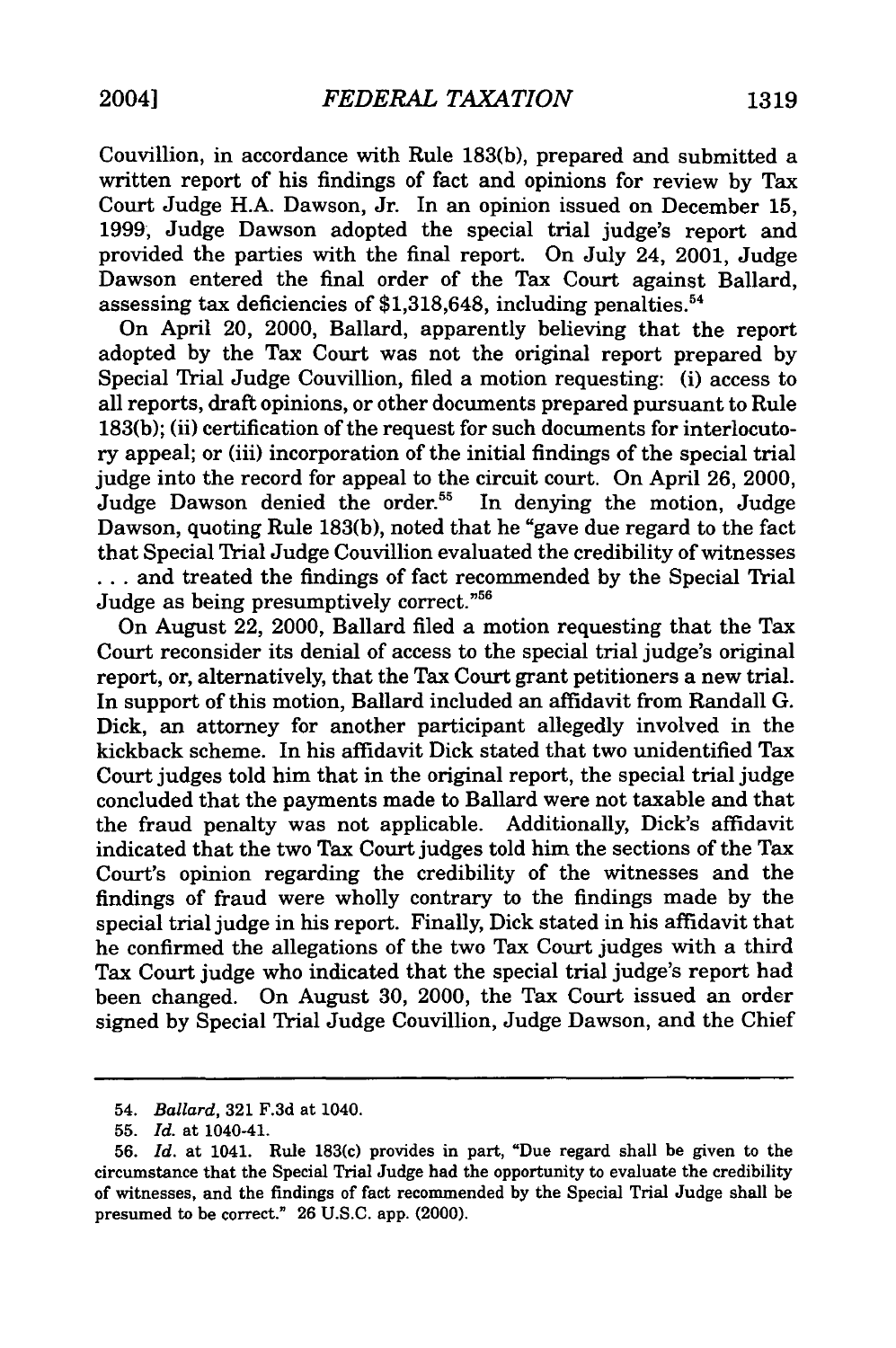Couvillion, in accordance with Rule 183(b), prepared and submitted a written report of his findings of fact and opinions for review by Tax Court Judge H.A. Dawson, Jr. In an opinion issued on December 15, 1999, Judge Dawson adopted the special trial judge's report and provided the parties with the final report. On July 24, 2001, Judge Dawson entered the final order of the Tax Court against Ballard, assessing tax deficiencies of \$1,318,648, including penalties.<sup>54</sup>

On April 20, 2000, Ballard, apparently believing that the report adopted by the Tax Court was not the original report prepared by Special Trial Judge Couvillion, filed a motion requesting: (i) access to all reports, draft opinions, or other documents prepared pursuant to Rule 183(b); (ii) certification of the request for such documents for interlocutory appeal; or (iii) incorporation of the initial findings of the special trial judge into the record for appeal to the circuit court. On April 26, 2000, Judge Dawson denied the order.<sup>55</sup> In denying the motion, Judge Dawson, quoting Rule 183(b), noted that he "gave due regard to the fact that Special Trial Judge Couvillion evaluated the credibility of witnesses **...** and treated the findings of fact recommended by the Special Trial Judge as being presumptively correct."56

On August 22, 2000, Ballard filed a motion requesting that the Tax Court reconsider its denial of access to the special trial judge's original report, or, alternatively, that the Tax Court grant petitioners a new trial. In support of this motion, Ballard included an affidavit from Randall G. Dick, an attorney for another participant allegedly involved in the kickback scheme. In his affidavit Dick stated that two unidentified Tax Court judges told him that in the original report, the special trial judge concluded that the payments made to Ballard were not taxable and that the fraud penalty was not applicable. Additionally, Dick's affidavit indicated that the two Tax Court judges told him the sections of the Tax Court's opinion regarding the credibility of the witnesses and the findings of fraud were wholly contrary to the findings made by the special trial judge in his report. Finally, Dick stated in his affidavit that he confirmed the allegations of the two Tax Court judges with a third Tax Court judge who indicated that the special trial judge's report had been changed. On August 30, 2000, the Tax Court issued an order signed by Special Trial Judge Couvillion, Judge Dawson, and the Chief

<sup>54.</sup> *Ballard,* 321 F.3d at 1040.

**<sup>55.</sup>** *Id.* at 1040-41.

**<sup>56.</sup>** *Id.* at 1041. Rule 183(c) provides in part, "Due regard shall be given to the circumstance that the Special Trial Judge had the opportunity to evaluate the credibility of witnesses, and the findings of fact recommended **by** the Special Trial Judge shall be presumed to be correct." **26 U.S.C.** app. (2000).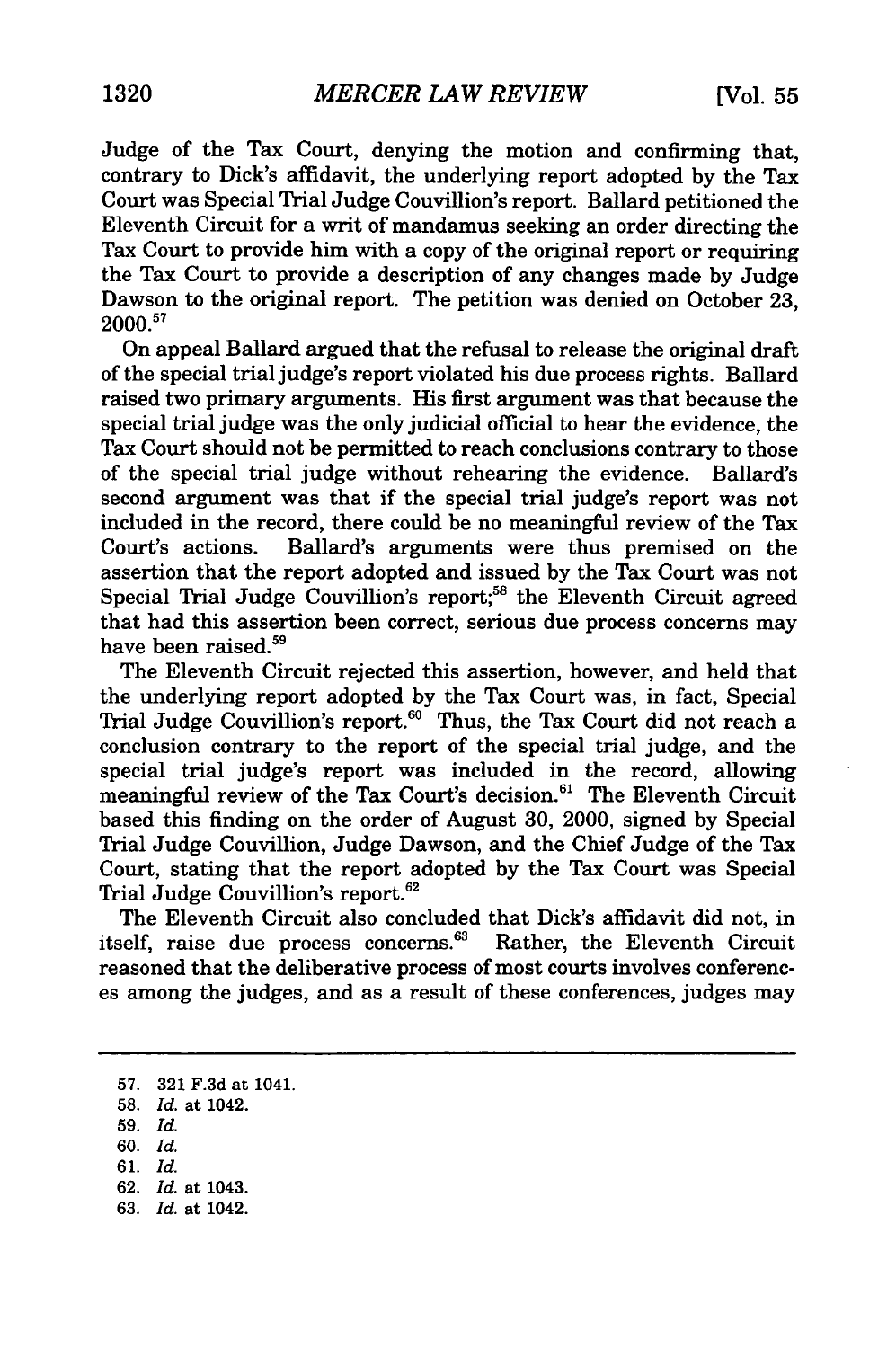Judge of the Tax Court, denying the motion and confirming that, contrary to Dick's affidavit, the underlying report adopted by the Tax Court was Special Trial Judge Couvillion's report. Ballard petitioned the Eleventh Circuit for a writ of mandamus seeking an order directing the Tax Court to provide him with a copy of the original report or requiring the Tax Court to provide a description of any changes made by Judge Dawson to the original report. The petition was denied on October 23, 2000. <sup>57</sup>

On appeal Ballard argued that the refusal to release the original draft of the special trial judge's report violated his due process rights. Ballard raised two primary arguments. His first argument was that because the special trial judge was the only judicial official to hear the evidence, the Tax Court should not be permitted to reach conclusions contrary to those of the special trial judge without rehearing the evidence. Ballard's second argument was that if the special trial judge's report was not included in the record, there could be no meaningful review of the Tax Court's actions. Ballard's arguments were thus premised on the assertion that the report adopted and issued by the Tax Court was not Special Trial Judge Couvillion's report;<sup>58</sup> the Eleventh Circuit agreed that had this assertion been correct, serious due process concerns may have been raised.<sup>59</sup>

The Eleventh Circuit rejected this assertion, however, and held that the underlying report adopted by the Tax Court was, in fact, Special Trial Judge Couvillion's report.<sup>60</sup> Thus, the Tax Court did not reach a conclusion contrary to the report of the special trial judge, and the special trial judge's report was included in the record, allowing meaningful review of the Tax Court's decision.<sup>61</sup> The Eleventh Circuit based this finding on the order of August 30, 2000, signed by Special Trial Judge Couvillion, Judge Dawson, and the Chief Judge of the Tax Court, stating that the report adopted by the Tax Court was Special Trial Judge Couvillion's report.<sup>62</sup>

The Eleventh Circuit also concluded that Dick's affidavit did not, in itself, raise due process concerns.<sup>63</sup> Rather, the Eleventh Circuit reasoned that the deliberative process of most courts involves conferences among the judges, and as a result of these conferences, judges may

- 58. *Id.* at 1042.
- 59. *Id.*
- 60. *Id.*
- 61. *Id.*
- 62. *Id.* at 1043. 63. *Id.* at 1042.

<sup>57. 321</sup> F.3d at 1041.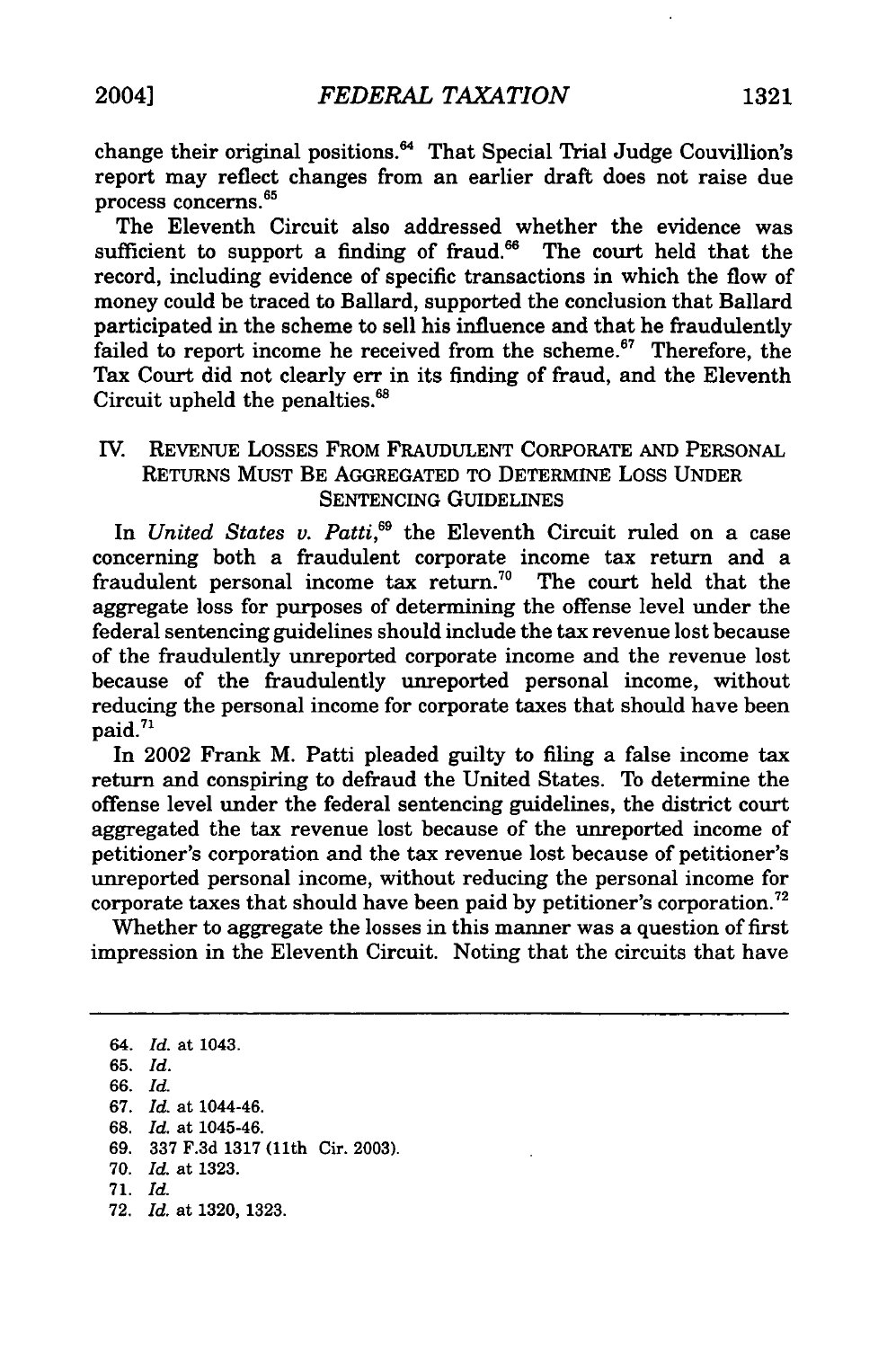change their original positions.<sup>64</sup> That Special Trial Judge Couvillion's report may reflect changes from an earlier draft does not raise due process concerns.65

The Eleventh Circuit also addressed whether the evidence was sufficient to support a finding of fraud. $^{66}$  The court held that the record, including evidence of specific transactions in which the flow of money could be traced to Ballard, supported the conclusion that Ballard participated in the scheme to sell his influence and that he fraudulently failed to report income he received from the scheme. $67$  Therefore, the Tax Court did not clearly err in its finding of fraud, and the Eleventh Circuit upheld the penalties.<sup>68</sup>

### IV. REVENUE LOSSES FROM FRAUDULENT CORPORATE **AND** PERSONAL RETURNS MUST BE AGGREGATED TO DETERMINE LOSS UNDER SENTENCING GUIDELINES

In *United States v. Patti*,<sup>69</sup> the Eleventh Circuit ruled on a case concerning both a fraudulent corporate income tax return and a fraudulent personal income tax return.<sup>70</sup> The court held that the aggregate loss for purposes of determining the offense level under the federal sentencing guidelines should include the tax revenue lost because of the fraudulently unreported corporate income and the revenue lost because of the fraudulently unreported personal income, without reducing the personal income for corporate taxes that should have been paid.<sup>71</sup>

In 2002 Frank M. Patti pleaded guilty to filing a false income tax return and conspiring to defraud the United States. To determine the offense level under the federal sentencing guidelines, the district court aggregated the tax revenue lost because of the unreported income of petitioner's corporation and the tax revenue lost because of petitioner's unreported personal income, without reducing the personal income for corporate taxes that should have been paid by petitioner's corporation.<sup>72</sup>

Whether to aggregate the losses in this manner was a question of first impression in the Eleventh Circuit. Noting that the circuits that have

64. *Id.* at 1043. **65.** *Id.* **66.** *Id.* **67.** *Id.* at 1044-46. **68.** *Id.* at 1045-46. **69. 337 F.3d 1317** (11th Cir. **2003). 70.** *Id.* at **1323. 71.** *Id.* **72.** *Id.* at **1320, 1323.**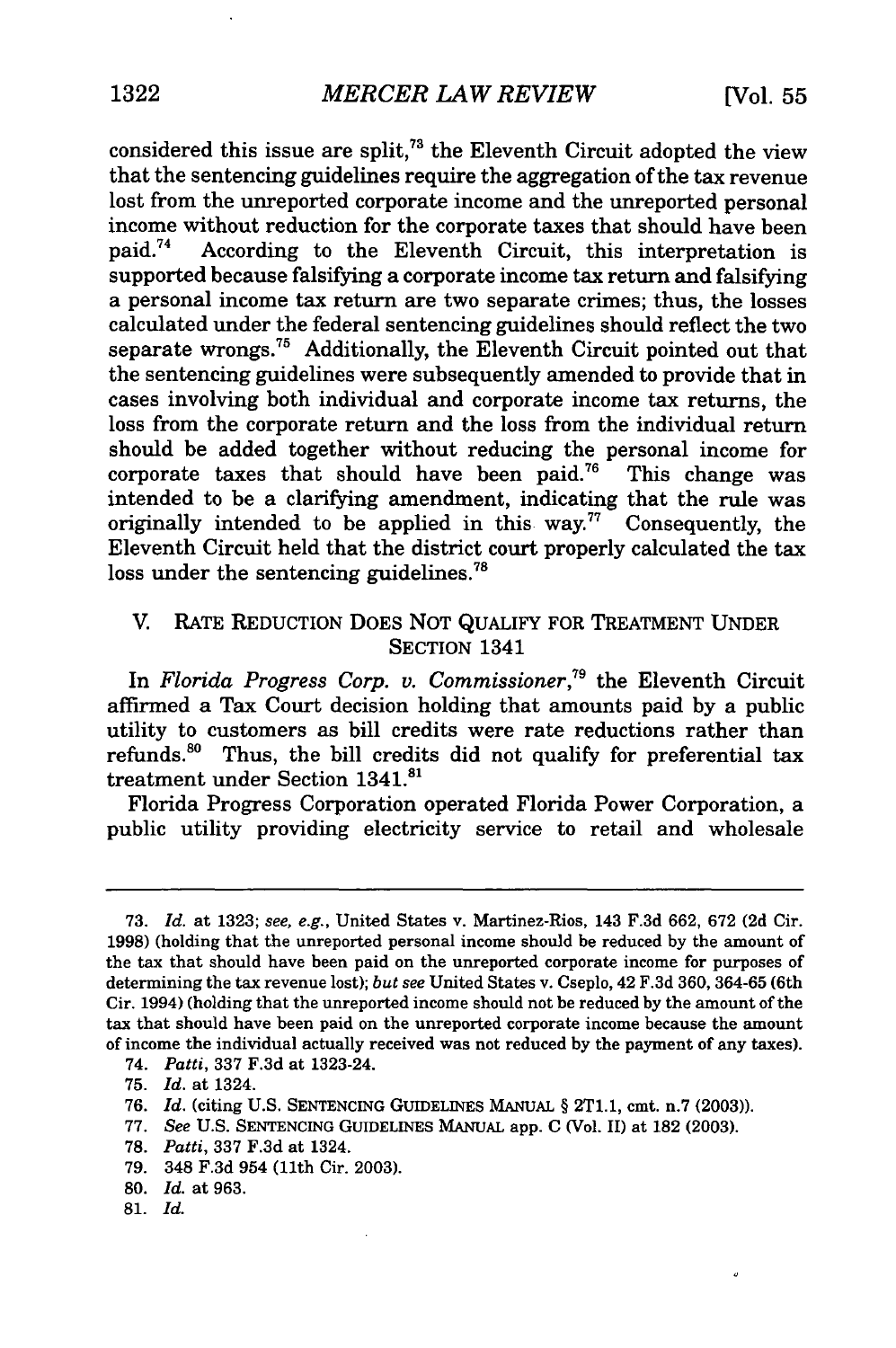o

considered this issue are split,<sup>73</sup> the Eleventh Circuit adopted the view that the sentencing guidelines require the aggregation of the tax revenue lost from the unreported corporate income and the unreported personal income without reduction for the corporate taxes that should have been paid.74 According to the Eleventh Circuit, this interpretation is supported because falsifying a corporate income tax return and falsifying a personal income tax return are two separate crimes; thus, the losses calculated under the federal sentencing guidelines should reflect the two separate wrongs.<sup>75</sup> Additionally, the Eleventh Circuit pointed out that the sentencing guidelines were subsequently amended to provide that in cases involving both individual and corporate income tax returns, the loss from the corporate return and the loss from the individual return should be added together without reducing the personal income for corporate taxes that should have been paid.<sup>76</sup> This change was intended to be a clarifying amendment, indicating that the rule was originally intended to be applied in this way.<sup>77</sup> Consequently, the Eleventh Circuit held that the district court properly calculated the tax loss under the sentencing guidelines.<sup>78</sup>

#### V. RATE REDUCTION DOES NOT QUALIFY FOR TREATMENT UNDER SECTION 1341

In *Florida Progress Corp. v. Commissioner,79* the Eleventh Circuit affirmed a Tax Court decision holding that amounts paid by a public utility to customers as bill credits were rate reductions rather than refunds.<sup>80</sup> Thus, the bill credits did not qualify for preferential tax treatment under Section 1341.<sup>81</sup>

Florida Progress Corporation operated Florida Power Corporation, a public utility providing electricity service to retail and wholesale

74. *Patti,* 337 F.3d at 1323-24.

- 77. *See* U.S. SENTENCING GUIDELINES MANUAL app. C (Vol. II) at 182 (2003).
- 78. *Patti,* 337 F.3d at 1324.
- 79. 348 F.3d 954 (11th Cir. 2003).
- 80. *Id.* at 963.
- 81. *Id.*

<sup>73.</sup> *Id.* at 1323; see, e.g., United States v. Martinez-Rios, 143 F.3d 662, 672 **(2d** Cir. 1998) (holding that the unreported personal income should be reduced by the amount of the tax that should have been paid on the unreported corporate income for purposes of determining the tax revenue lost); *but see* United States v. Cseplo, 42 F.3d 360, 364-65 (6th Cir. 1994) (holding that the unreported income should not be reduced by the amount of the tax that should have been paid on the unreported corporate income because the amount of income the individual actually received was not reduced by the payment of any taxes).

<sup>75.</sup> *Id.* at 1324.

**<sup>76.</sup>** *Id.* (citing **U.S.** SENTENCING GUIDELINES MANUAL § 2T1.1, cmt. n.7 **(2003)).**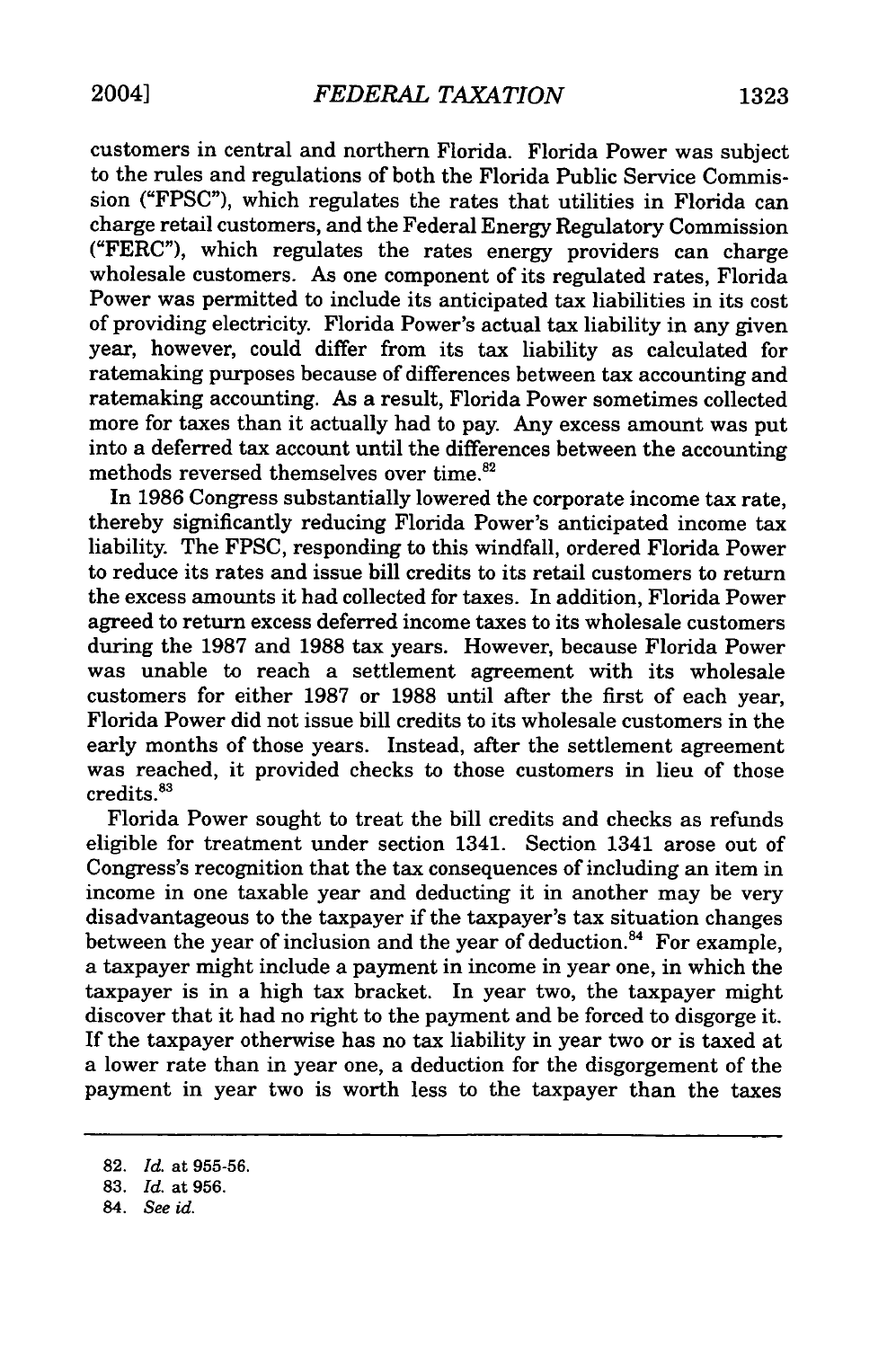customers in central and northern Florida. Florida Power was subject to the rules and regulations of both the Florida Public Service Commission ("FPSC"), which regulates the rates that utilities in Florida can charge retail customers, and the Federal Energy Regulatory Commission ("FERC"), which regulates the rates energy providers can charge wholesale customers. As one component of its regulated rates, Florida Power was permitted to include its anticipated tax liabilities in its cost of providing electricity. Florida Power's actual tax liability in any given year, however, could differ from its tax liability as calculated for ratemaking purposes because of differences between tax accounting and ratemaking accounting. As a result, Florida Power sometimes collected more for taxes than it actually had to pay. Any excess amount was put into a deferred tax account until the differences between the accounting methods reversed themselves over time.<sup>82</sup>

In **1986** Congress substantially lowered the corporate income tax rate, thereby significantly reducing Florida Power's anticipated income tax liability. The **FPSC,** responding to this windfall, ordered Florida Power to reduce its rates and issue bill credits to its retail customers to return the excess amounts it had collected for taxes. In addition, Florida Power agreed to return excess deferred income taxes to its wholesale customers during the **1987** and **1988** tax years. However, because Florida Power was unable to reach a settlement agreement with its wholesale customers for either **1987** or **1988** until after the first of each year, Florida Power did not issue bill credits to its wholesale customers in the early months of those years. Instead, after the settlement agreement was reached, it provided checks to those customers in lieu of those  $c$ redits. $83$ 

Florida Power sought to treat the bill credits and checks as refunds eligible for treatment under section 1341. Section 1341 arose out of Congress's recognition that the tax consequences of including an item in income in one taxable year and deducting it in another may be very disadvantageous to the taxpayer if the taxpayer's tax situation changes between the year of inclusion and the year of deduction.<sup>84</sup> For example, a taxpayer might include a payment in income in year one, in which the taxpayer is in a high tax bracket. In year two, the taxpayer might discover that it had no right to the payment and be forced to disgorge it. If the taxpayer otherwise has no tax liability in year two or is taxed at a lower rate than in year one, a deduction for the disgorgement of the payment in year two is worth less to the taxpayer than the taxes

<sup>82.</sup> *Id.* at 955-56.

<sup>83.</sup> *Id.* at 956.

<sup>84.</sup> *See id.*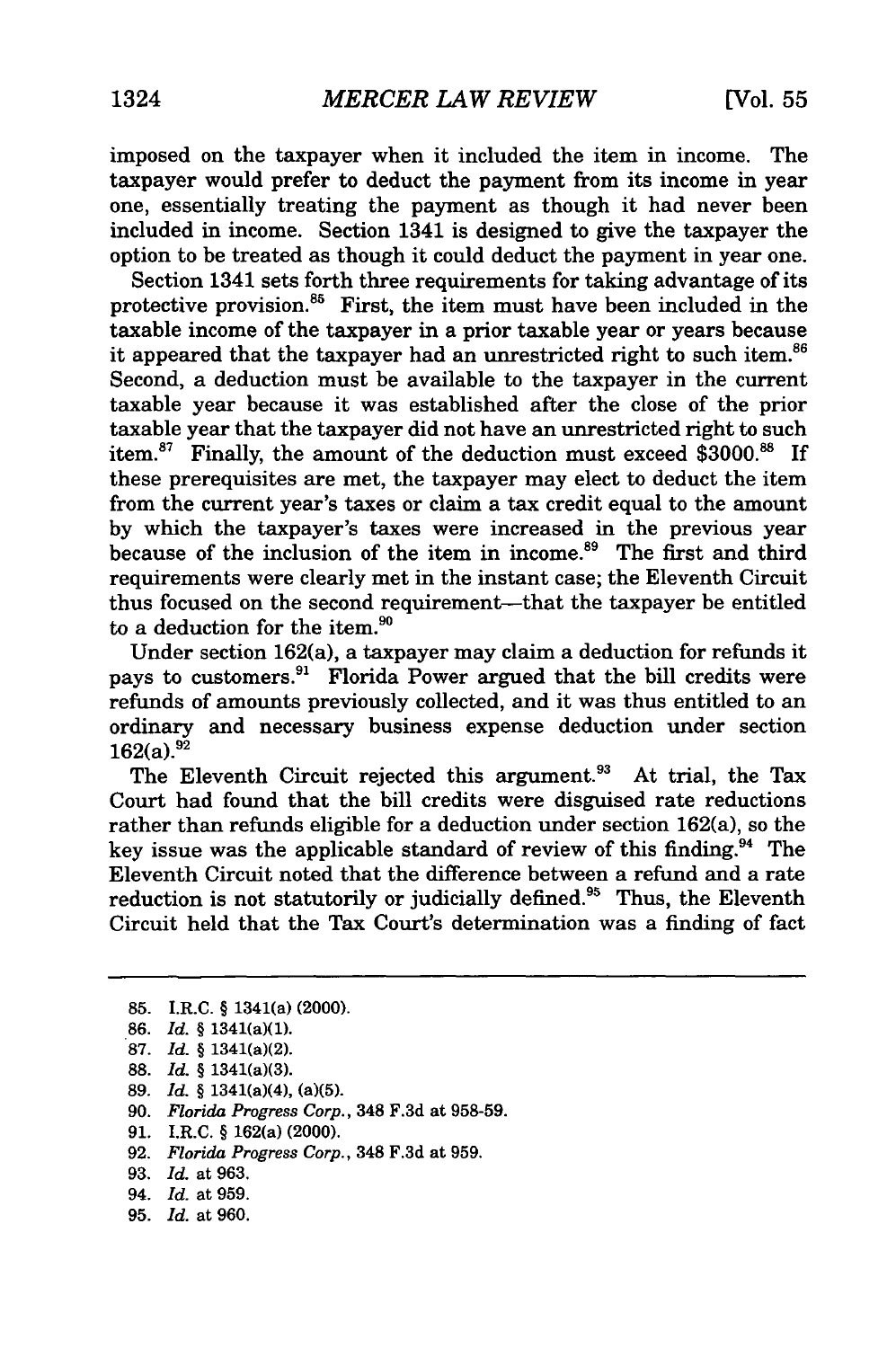imposed on the taxpayer when it included the item in income. The taxpayer would prefer to deduct the payment from its income in year one, essentially treating the payment as though it had never been included in income. Section 1341 is designed to give the taxpayer the option to be treated as though it could deduct the payment in year one.

Section 1341 sets forth three requirements for taking advantage of its protective provision. $85$  First, the item must have been included in the taxable income of the taxpayer in a prior taxable year or years because it appeared that the taxpayer had an unrestricted right to such item.<sup>86</sup> Second, a deduction must be available to the taxpayer in the current taxable year because it was established after the close of the prior taxable year that the taxpayer did not have an unrestricted right to such item.<sup>87</sup> Finally, the amount of the deduction must exceed \$3000.88 If these prerequisites are met, the taxpayer may elect to deduct the item from the current year's taxes or claim a tax credit equal to the amount by which the taxpayer's taxes were increased in the previous year because of the inclusion of the item in income.<sup>89</sup> The first and third requirements were clearly met in the instant case; the Eleventh Circuit thus focused on the second requirement-that the taxpayer be entitled to a deduction for the item.<sup>90</sup>

Under section 162(a), a taxpayer may claim a deduction for refunds it pays to customers.<sup>91</sup> Florida Power argued that the bill credits were refunds of amounts previously collected, and it was thus entitled to an ordinary and necessary business expense deduction under section  $162(a).^{92}$ 

The Eleventh Circuit rejected this argument.<sup>93</sup> At trial, the Tax Court had found that the bill credits were disguised rate reductions rather than refunds eligible for a deduction under section 162(a), so the key issue was the applicable standard of review of this finding.<sup>94</sup> The Eleventh Circuit noted that the difference between a refund and a rate reduction is not statutorily or judicially defined. $95$  Thus, the Eleventh Circuit held that the Tax Court's determination was a finding of fact

- 88. *Id.* § 1341(a)(3).
- 89. *Id.* § 1341(a)(4), (a)(5).
- 90. *Florida Progress Corp.,* 348 F.3d at 958-59.
- 91. I.R.C. § 162(a) (2000).
- 92. *Florida Progress Corp.,* 348 F.3d at 959.
- 93. *Id.* at 963.
- 94. *Id.* at 959.
- 95. *Id.* at 960.

<sup>85.</sup> I.R.C. § 1341(a) (2000).

<sup>86.</sup> *Id.* § 1341(a)(1).

**<sup>87.</sup>** *Id.* § 1341(a)(2).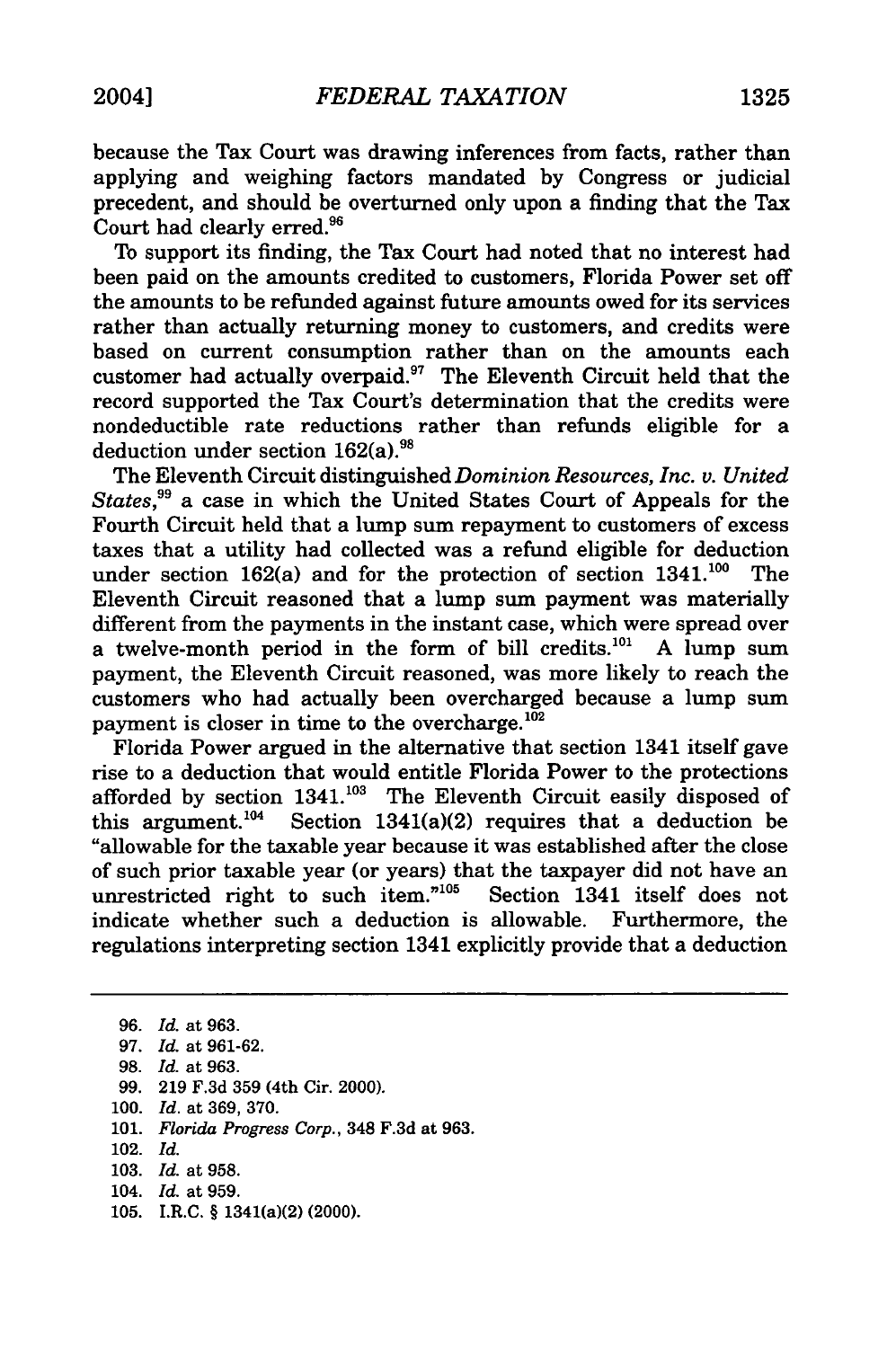because the Tax Court was drawing inferences from facts, rather than applying and weighing factors mandated by Congress or judicial precedent, and should be overturned only upon a finding that the Tax Court had clearly erred.<sup>96</sup>

To support its finding, the Tax Court had noted that no interest had been paid on the amounts credited to customers, Florida Power set off the amounts to be refunded against future amounts owed for its services rather than actually returning money to customers, and credits were based on current consumption rather than on the amounts each customer had actually overpaid.<sup>97</sup> The Eleventh Circuit held that the record supported the Tax Court's determination that the credits were nondeductible rate reductions rather than refunds eligible for a deduction under section 162(a).<sup>98</sup>

The Eleventh Circuit distinguished *Dominion Resources, Inc. v. United States,99* a case in which the United States Court of Appeals for the Fourth Circuit held that a lump sum repayment to customers of excess taxes that a utility had collected was a refund eligible for deduction under section  $162(a)$  and for the protection of section  $1341$ .<sup>100</sup> The Eleventh Circuit reasoned that a lump sum payment was materially different from the payments in the instant case, which were spread over a twelve-month period in the form of bill credits.<sup>101</sup> A lump sum payment, the Eleventh Circuit reasoned, was more likely to reach the customers who had actually been overcharged because a lump sum payment is closer in time to the overcharge.<sup>102</sup>

Florida Power argued in the alternative that section 1341 itself gave rise to a deduction that would entitle Florida Power to the protections afforded by section 1341.<sup>103</sup> The Eleventh Circuit easily disposed of this argument.<sup>104</sup> Section 1341(a)(2) requires that a deduction be "allowable for the taxable year because it was established after the close of such prior taxable year (or years) that the taxpayer did not have an unrestricted right to such item."<sup>105</sup> Section 1341 itself does not unrestricted right to such item." $105$ indicate whether such a deduction is allowable. Furthermore, the regulations interpreting section 1341 explicitly provide that a deduction

**96.** *Id.* at **963. 97.** *Id.* at **961-62. 98.** *Id.* at **963. 99. 219 F.3d 359** (4th Cir. 2000). **100.** *Id.* at **369, 370. 101.** *Florida Progress Corp.,* 348 **F.3d** at **963.** 102. *Id.* **103.** *Id.* at **958.** 104. *Id.* at **959.**

**105.** I.R.C. § 1341(a)(2) (2000).